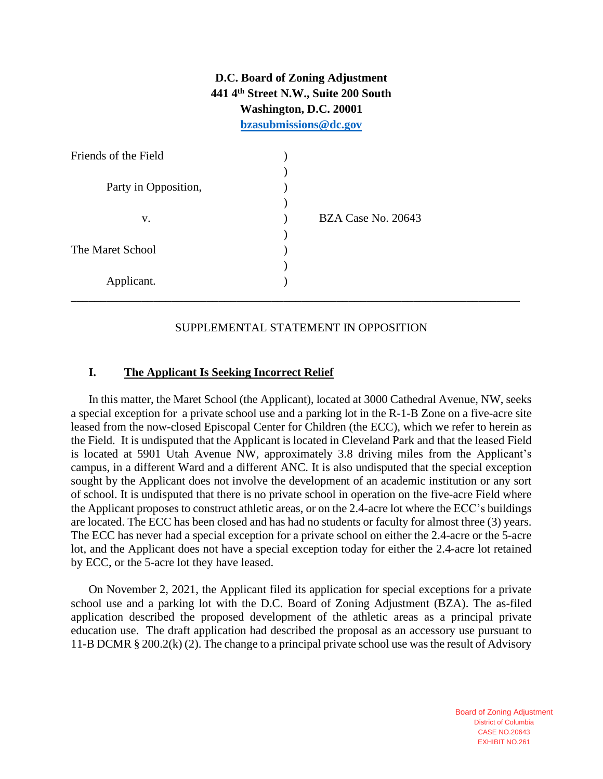**D.C. Board of Zoning Adjustment 441 4th Street N.W., Suite 200 South Washington, D.C. 20001 [bzasubmissions@dc.gov](mailto:bzasubmissions@dc.gov)**

| Friends of the Field |                    |
|----------------------|--------------------|
|                      |                    |
| Party in Opposition, |                    |
|                      |                    |
| V.                   | BZA Case No. 20643 |
|                      |                    |
| The Maret School     |                    |
|                      |                    |
| Applicant.           |                    |
|                      |                    |

## SUPPLEMENTAL STATEMENT IN OPPOSITION

### **I. The Applicant Is Seeking Incorrect Relief**

In this matter, the Maret School (the Applicant), located at 3000 Cathedral Avenue, NW, seeks a special exception for a private school use and a parking lot in the R-1-B Zone on a five-acre site leased from the now-closed Episcopal Center for Children (the ECC), which we refer to herein as the Field. It is undisputed that the Applicant is located in Cleveland Park and that the leased Field is located at 5901 Utah Avenue NW, approximately 3.8 driving miles from the Applicant's campus, in a different Ward and a different ANC. It is also undisputed that the special exception sought by the Applicant does not involve the development of an academic institution or any sort of school. It is undisputed that there is no private school in operation on the five-acre Field where the Applicant proposes to construct athletic areas, or on the 2.4-acre lot where the ECC's buildings are located. The ECC has been closed and has had no students or faculty for almost three (3) years. The ECC has never had a special exception for a private school on either the 2.4-acre or the 5-acre lot, and the Applicant does not have a special exception today for either the 2.4-acre lot retained by ECC, or the 5-acre lot they have leased.

On November 2, 2021, the Applicant filed its application for special exceptions for a private school use and a parking lot with the D.C. Board of Zoning Adjustment (BZA). The as-filed application described the proposed development of the athletic areas as a principal private education use. The draft application had described the proposal as an accessory use pursuant to 11-B DCMR § 200.2(k) (2). The change to a principal private school use was the result of Advisory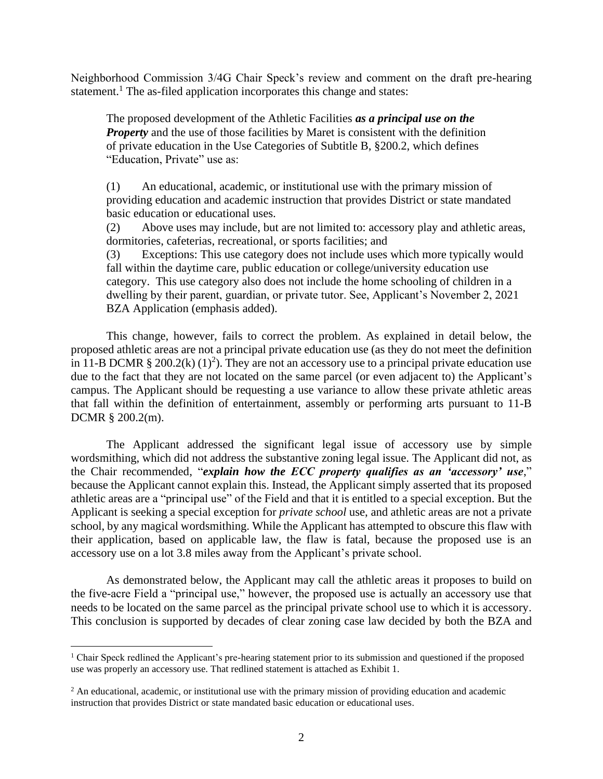Neighborhood Commission 3/4G Chair Speck's review and comment on the draft pre-hearing statement.<sup>1</sup> The as-filed application incorporates this change and states:

The proposed development of the Athletic Facilities *as a principal use on the Property* and the use of those facilities by Maret is consistent with the definition of private education in the Use Categories of Subtitle B, §200.2, which defines "Education, Private" use as:

(1) An educational, academic, or institutional use with the primary mission of providing education and academic instruction that provides District or state mandated basic education or educational uses.

(2) Above uses may include, but are not limited to: accessory play and athletic areas, dormitories, cafeterias, recreational, or sports facilities; and

(3) Exceptions: This use category does not include uses which more typically would fall within the daytime care, public education or college/university education use category. This use category also does not include the home schooling of children in a dwelling by their parent, guardian, or private tutor. See, Applicant's November 2, 2021 BZA Application (emphasis added).

This change, however, fails to correct the problem. As explained in detail below, the proposed athletic areas are not a principal private education use (as they do not meet the definition in 11-B DCMR § 200.2(k)  $(1)^2$ ). They are not an accessory use to a principal private education use due to the fact that they are not located on the same parcel (or even adjacent to) the Applicant's campus. The Applicant should be requesting a use variance to allow these private athletic areas that fall within the definition of entertainment, assembly or performing arts pursuant to 11-B DCMR § 200.2(m).

The Applicant addressed the significant legal issue of accessory use by simple wordsmithing, which did not address the substantive zoning legal issue. The Applicant did not, as the Chair recommended, "*explain how the ECC property qualifies as an 'accessory' use*," because the Applicant cannot explain this. Instead, the Applicant simply asserted that its proposed athletic areas are a "principal use" of the Field and that it is entitled to a special exception. But the Applicant is seeking a special exception for *private school* use, and athletic areas are not a private school, by any magical wordsmithing. While the Applicant has attempted to obscure this flaw with their application, based on applicable law, the flaw is fatal, because the proposed use is an accessory use on a lot 3.8 miles away from the Applicant's private school.

As demonstrated below, the Applicant may call the athletic areas it proposes to build on the five-acre Field a "principal use," however, the proposed use is actually an accessory use that needs to be located on the same parcel as the principal private school use to which it is accessory. This conclusion is supported by decades of clear zoning case law decided by both the BZA and

<sup>1</sup> Chair Speck redlined the Applicant's pre-hearing statement prior to its submission and questioned if the proposed use was properly an accessory use. That redlined statement is attached as Exhibit 1.

<sup>&</sup>lt;sup>2</sup> An educational, academic, or institutional use with the primary mission of providing education and academic instruction that provides District or state mandated basic education or educational uses.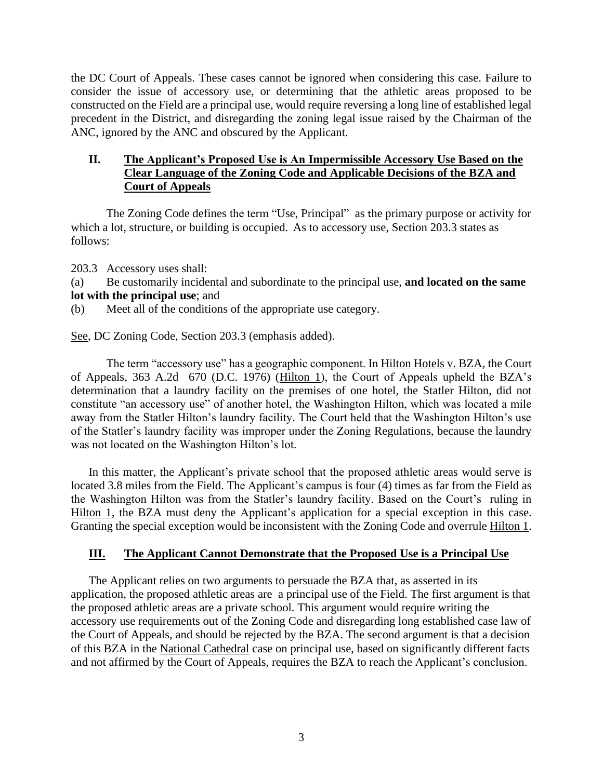the DC Court of Appeals. These cases cannot be ignored when considering this case. Failure to consider the issue of accessory use, or determining that the athletic areas proposed to be constructed on the Field are a principal use, would require reversing a long line of established legal precedent in the District, and disregarding the zoning legal issue raised by the Chairman of the ANC, ignored by the ANC and obscured by the Applicant.

# **II. The Applicant's Proposed Use is An Impermissible Accessory Use Based on the Clear Language of the Zoning Code and Applicable Decisions of the BZA and Court of Appeals**

The Zoning Code defines the term "Use, Principal" as the primary purpose or activity for which a lot, structure, or building is occupied. As to accessory use, Section 203.3 states as follows:

203.3 Accessory uses shall:

(a) Be customarily incidental and subordinate to the principal use, **and located on the same lot with the principal use**; and

(b) Meet all of the conditions of the appropriate use category.

See, DC Zoning Code, Section 203.3 (emphasis added).

The term "accessory use" has a geographic component. In Hilton Hotels v. BZA, the Court of Appeals, 363 A.2d 670 (D.C. 1976) (Hilton 1), the Court of Appeals upheld the BZA's determination that a laundry facility on the premises of one hotel, the Statler Hilton, did not constitute "an accessory use" of another hotel, the Washington Hilton, which was located a mile away from the Statler Hilton's laundry facility. The Court held that the Washington Hilton's use of the Statler's laundry facility was improper under the Zoning Regulations, because the laundry was not located on the Washington Hilton's lot.

In this matter, the Applicant's private school that the proposed athletic areas would serve is located 3.8 miles from the Field. The Applicant's campus is four (4) times as far from the Field as the Washington Hilton was from the Statler's laundry facility. Based on the Court's ruling in Hilton 1, the BZA must deny the Applicant's application for a special exception in this case. Granting the special exception would be inconsistent with the Zoning Code and overrule Hilton 1.

# **III. The Applicant Cannot Demonstrate that the Proposed Use is a Principal Use**

The Applicant relies on two arguments to persuade the BZA that, as asserted in its application, the proposed athletic areas are a principal use of the Field. The first argument is that the proposed athletic areas are a private school. This argument would require writing the accessory use requirements out of the Zoning Code and disregarding long established case law of the Court of Appeals, and should be rejected by the BZA. The second argument is that a decision of this BZA in the National Cathedral case on principal use, based on significantly different facts and not affirmed by the Court of Appeals, requires the BZA to reach the Applicant's conclusion.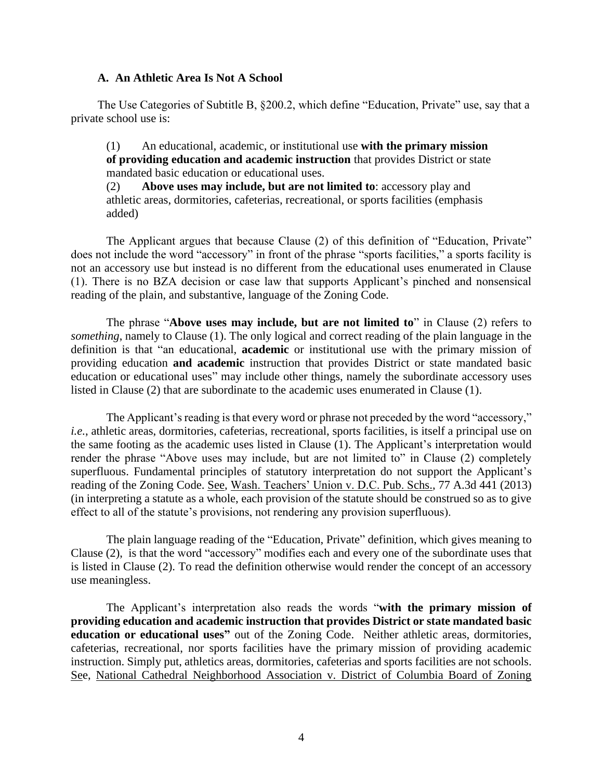#### **A. An Athletic Area Is Not A School**

The Use Categories of Subtitle B, §200.2, which define "Education, Private" use, say that a private school use is:

(1) An educational, academic, or institutional use **with the primary mission of providing education and academic instruction** that provides District or state mandated basic education or educational uses.

(2) **Above uses may include, but are not limited to**: accessory play and athletic areas, dormitories, cafeterias, recreational, or sports facilities (emphasis added)

The Applicant argues that because Clause (2) of this definition of "Education, Private" does not include the word "accessory" in front of the phrase "sports facilities," a sports facility is not an accessory use but instead is no different from the educational uses enumerated in Clause (1). There is no BZA decision or case law that supports Applicant's pinched and nonsensical reading of the plain, and substantive, language of the Zoning Code.

The phrase "**Above uses may include, but are not limited to**" in Clause (2) refers to *something*, namely to Clause (1). The only logical and correct reading of the plain language in the definition is that "an educational, **academic** or institutional use with the primary mission of providing education **and academic** instruction that provides District or state mandated basic education or educational uses" may include other things, namely the subordinate accessory uses listed in Clause (2) that are subordinate to the academic uses enumerated in Clause (1).

The Applicant's reading is that every word or phrase not preceded by the word "accessory," *i.e.*, athletic areas, dormitories, cafeterias, recreational, sports facilities, is itself a principal use on the same footing as the academic uses listed in Clause (1). The Applicant's interpretation would render the phrase "Above uses may include, but are not limited to" in Clause (2) completely superfluous. Fundamental principles of statutory interpretation do not support the Applicant's reading of the Zoning Code. See, Wash. Teachers' Union v. D.C. Pub. Schs., 77 A.3d 441 (2013) (in interpreting a statute as a whole, each provision of the statute should be construed so as to give effect to all of the statute's provisions, not rendering any provision superfluous).

The plain language reading of the "Education, Private" definition, which gives meaning to Clause (2), is that the word "accessory" modifies each and every one of the subordinate uses that is listed in Clause (2). To read the definition otherwise would render the concept of an accessory use meaningless.

The Applicant's interpretation also reads the words "**with the primary mission of providing education and academic instruction that provides District or state mandated basic education or educational uses"** out of the Zoning Code. Neither athletic areas, dormitories, cafeterias, recreational, nor sports facilities have the primary mission of providing academic instruction. Simply put, athletics areas, dormitories, cafeterias and sports facilities are not schools. See, National Cathedral Neighborhood Association v. District of Columbia Board of Zoning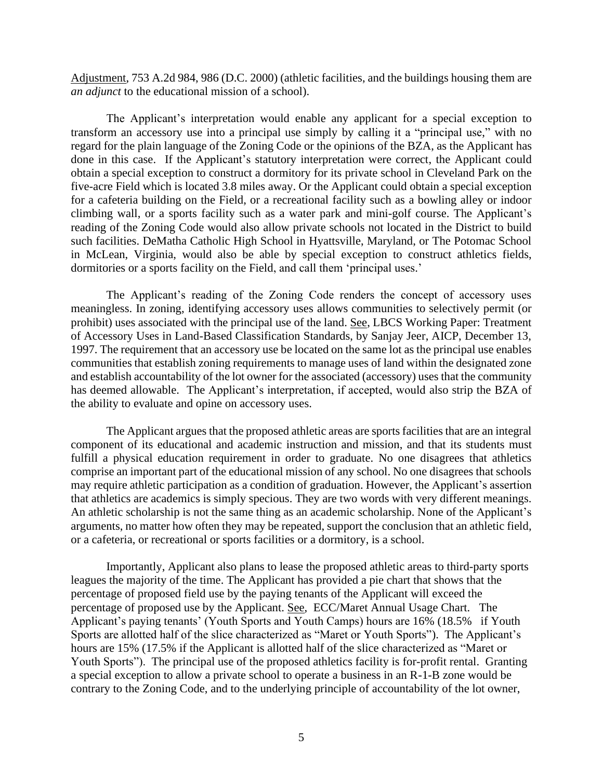Adjustment, 753 A.2d 984, 986 (D.C. 2000) (athletic facilities, and the buildings housing them are *an adjunct* to the educational mission of a school).

The Applicant's interpretation would enable any applicant for a special exception to transform an accessory use into a principal use simply by calling it a "principal use," with no regard for the plain language of the Zoning Code or the opinions of the BZA, as the Applicant has done in this case. If the Applicant's statutory interpretation were correct, the Applicant could obtain a special exception to construct a dormitory for its private school in Cleveland Park on the five-acre Field which is located 3.8 miles away. Or the Applicant could obtain a special exception for a cafeteria building on the Field, or a recreational facility such as a bowling alley or indoor climbing wall, or a sports facility such as a water park and mini-golf course. The Applicant's reading of the Zoning Code would also allow private schools not located in the District to build such facilities. DeMatha Catholic High School in Hyattsville, Maryland, or The Potomac School in McLean, Virginia, would also be able by special exception to construct athletics fields, dormitories or a sports facility on the Field, and call them 'principal uses.'

The Applicant's reading of the Zoning Code renders the concept of accessory uses meaningless. In zoning, identifying accessory uses allows communities to selectively permit (or prohibit) uses associated with the principal use of the land. See, LBCS Working Paper: Treatment of Accessory Uses in Land-Based Classification Standards, by Sanjay Jeer, AICP, December 13, 1997. The requirement that an accessory use be located on the same lot as the principal use enables communities that establish zoning requirements to manage uses of land within the designated zone and establish accountability of the lot owner for the associated (accessory) uses that the community has deemed allowable. The Applicant's interpretation, if accepted, would also strip the BZA of the ability to evaluate and opine on accessory uses.

The Applicant argues that the proposed athletic areas are sports facilities that are an integral component of its educational and academic instruction and mission, and that its students must fulfill a physical education requirement in order to graduate. No one disagrees that athletics comprise an important part of the educational mission of any school. No one disagrees that schools may require athletic participation as a condition of graduation. However, the Applicant's assertion that athletics are academics is simply specious. They are two words with very different meanings. An athletic scholarship is not the same thing as an academic scholarship. None of the Applicant's arguments, no matter how often they may be repeated, support the conclusion that an athletic field, or a cafeteria, or recreational or sports facilities or a dormitory, is a school.

Importantly, Applicant also plans to lease the proposed athletic areas to third-party sports leagues the majority of the time. The Applicant has provided a pie chart that shows that the percentage of proposed field use by the paying tenants of the Applicant will exceed the percentage of proposed use by the Applicant. See, ECC/Maret Annual Usage Chart. The Applicant's paying tenants' (Youth Sports and Youth Camps) hours are 16% (18.5% if Youth Sports are allotted half of the slice characterized as "Maret or Youth Sports"). The Applicant's hours are 15% (17.5% if the Applicant is allotted half of the slice characterized as "Maret or Youth Sports"). The principal use of the proposed athletics facility is for-profit rental. Granting a special exception to allow a private school to operate a business in an R-1-B zone would be contrary to the Zoning Code, and to the underlying principle of accountability of the lot owner,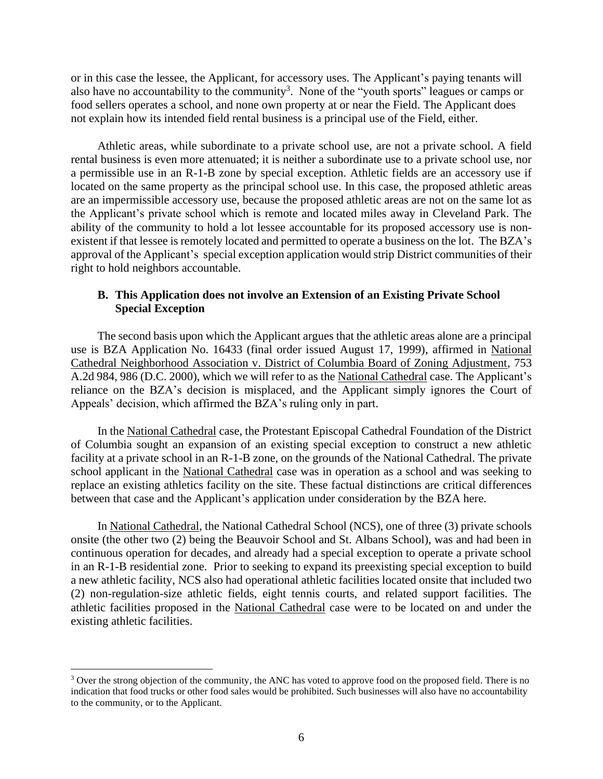or in this case the lessee, the Applicant, for accessory uses. The Applicant's paying tenants will also have no accountability to the community<sup>3</sup>. None of the "youth sports" leagues or camps or food sellers operates a school, and none own property at or near the Field. The Applicant does not explain how its intended field rental business is a principal use of the Field, either.

Athletic areas, while subordinate to a private school use, are not a private school. A field rental business is even more attenuated; it is neither a subordinate use to a private school use, nor a permissible use in an R-1-B zone by special exception. Athletic fields are an accessory use if located on the same property as the principal school use. In this case, the proposed athletic areas are an impermissible accessory use, because the proposed athletic areas are not on the same lot as the Applicant's private school which is remote and located miles away in Cleveland Park. The ability of the community to hold a lot lessee accountable for its proposed accessory use is nonexistent if that lessee is remotely located and permitted to operate a business on the lot. The BZA's approval of the Applicant's special exception application would strip District communities of their right to hold neighbors accountable.

### **B. This Application does not involve an Extension of an Existing Private School Special Exception**

The second basis upon which the Applicant argues that the athletic areas alone are a principal use is BZA Application No. 16433 (final order issued August 17, 1999), affirmed in National Cathedral Neighborhood Association v. District of Columbia Board of Zoning Adjustment, 753 A.2d 984, 986 (D.C. 2000), which we will refer to as the National Cathedral case. The Applicant's reliance on the BZA's decision is misplaced, and the Applicant simply ignores the Court of Appeals' decision, which affirmed the BZA's ruling only in part.

In the National Cathedral case, the Protestant Episcopal Cathedral Foundation of the District of Columbia sought an expansion of an existing special exception to construct a new athletic facility at a private school in an R-1-B zone, on the grounds of the National Cathedral. The private school applicant in the National Cathedral case was in operation as a school and was seeking to replace an existing athletics facility on the site. These factual distinctions are critical differences between that case and the Applicant's application under consideration by the BZA here.

In National Cathedral, the National Cathedral School (NCS), one of three (3) private schools onsite (the other two (2) being the Beauvoir School and St. Albans School), was and had been in continuous operation for decades, and already had a special exception to operate a private school in an R-1-B residential zone. Prior to seeking to expand its preexisting special exception to build a new athletic facility, NCS also had operational athletic facilities located onsite that included two (2) non-regulation-size athletic fields, eight tennis courts, and related support facilities. The athletic facilities proposed in the National Cathedral case were to be located on and under the existing athletic facilities.

<sup>&</sup>lt;sup>3</sup> Over the strong objection of the community, the ANC has voted to approve food on the proposed field. There is no indication that food trucks or other food sales would be prohibited. Such businesses will also have no accountability to the community, or to the Applicant.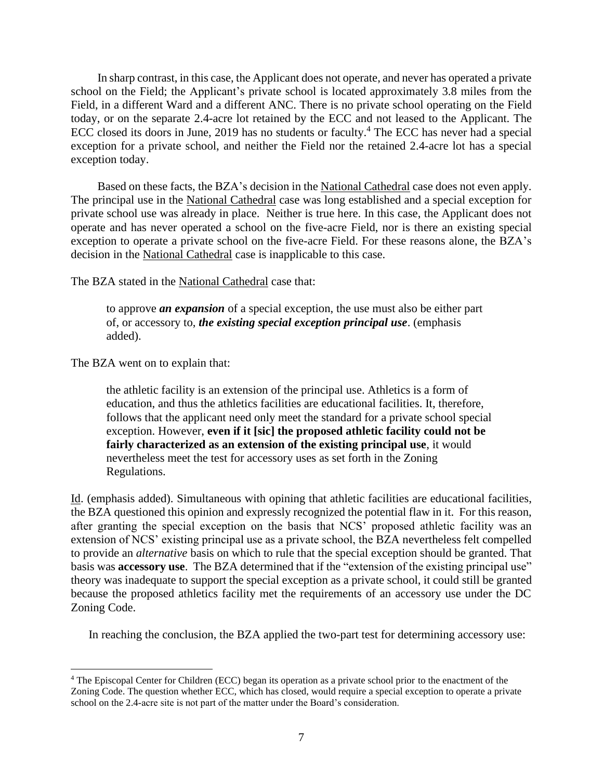In sharp contrast, in this case, the Applicant does not operate, and never has operated a private school on the Field; the Applicant's private school is located approximately 3.8 miles from the Field, in a different Ward and a different ANC. There is no private school operating on the Field today, or on the separate 2.4-acre lot retained by the ECC and not leased to the Applicant. The ECC closed its doors in June, 2019 has no students or faculty. <sup>4</sup> The ECC has never had a special exception for a private school, and neither the Field nor the retained 2.4-acre lot has a special exception today.

Based on these facts, the BZA's decision in the National Cathedral case does not even apply. The principal use in the National Cathedral case was long established and a special exception for private school use was already in place. Neither is true here. In this case, the Applicant does not operate and has never operated a school on the five-acre Field, nor is there an existing special exception to operate a private school on the five-acre Field. For these reasons alone, the BZA's decision in the National Cathedral case is inapplicable to this case.

The BZA stated in the National Cathedral case that:

to approve *an expansion* of a special exception, the use must also be either part of, or accessory to, *the existing special exception principal use*. (emphasis added).

The BZA went on to explain that:

the athletic facility is an extension of the principal use. Athletics is a form of education, and thus the athletics facilities are educational facilities. It, therefore, follows that the applicant need only meet the standard for a private school special exception. However, **even if it [sic] the proposed athletic facility could not be fairly characterized as an extension of the existing principal use**, it would nevertheless meet the test for accessory uses as set forth in the Zoning Regulations.

Id. (emphasis added). Simultaneous with opining that athletic facilities are educational facilities, the BZA questioned this opinion and expressly recognized the potential flaw in it. For this reason, after granting the special exception on the basis that NCS' proposed athletic facility was an extension of NCS' existing principal use as a private school, the BZA nevertheless felt compelled to provide an *alternative* basis on which to rule that the special exception should be granted. That basis was **accessory use**. The BZA determined that if the "extension of the existing principal use" theory was inadequate to support the special exception as a private school, it could still be granted because the proposed athletics facility met the requirements of an accessory use under the DC Zoning Code.

In reaching the conclusion, the BZA applied the two-part test for determining accessory use:

<sup>4</sup> The Episcopal Center for Children (ECC) began its operation as a private school prior to the enactment of the Zoning Code. The question whether ECC, which has closed, would require a special exception to operate a private school on the 2.4-acre site is not part of the matter under the Board's consideration.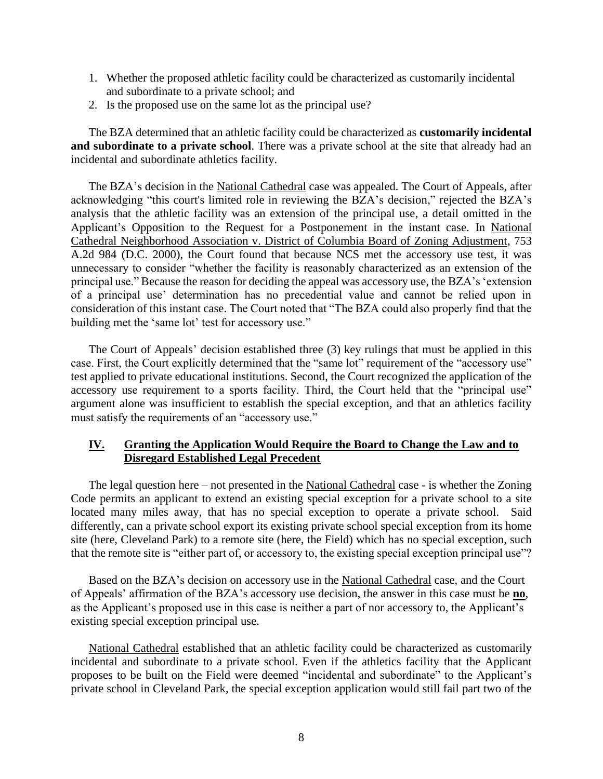- 1. Whether the proposed athletic facility could be characterized as customarily incidental and subordinate to a private school; and
- 2. Is the proposed use on the same lot as the principal use?

The BZA determined that an athletic facility could be characterized as **customarily incidental and subordinate to a private school**. There was a private school at the site that already had an incidental and subordinate athletics facility.

The BZA's decision in the National Cathedral case was appealed. The Court of Appeals, after acknowledging "this court's limited role in reviewing the BZA's decision," rejected the BZA's analysis that the athletic facility was an extension of the principal use, a detail omitted in the Applicant's Opposition to the Request for a Postponement in the instant case. In National Cathedral Neighborhood Association v. District of Columbia Board of Zoning Adjustment, 753 A.2d 984 (D.C. 2000), the Court found that because NCS met the accessory use test, it was unnecessary to consider "whether the facility is reasonably characterized as an extension of the principal use." Because the reason for deciding the appeal was accessory use, the BZA's 'extension of a principal use' determination has no precedential value and cannot be relied upon in consideration of this instant case. The Court noted that "The BZA could also properly find that the building met the 'same lot' test for accessory use."

The Court of Appeals' decision established three (3) key rulings that must be applied in this case. First, the Court explicitly determined that the "same lot" requirement of the "accessory use" test applied to private educational institutions. Second, the Court recognized the application of the accessory use requirement to a sports facility. Third, the Court held that the "principal use" argument alone was insufficient to establish the special exception, and that an athletics facility must satisfy the requirements of an "accessory use."

# **IV. Granting the Application Would Require the Board to Change the Law and to Disregard Established Legal Precedent**

The legal question here – not presented in the National Cathedral case - is whether the Zoning Code permits an applicant to extend an existing special exception for a private school to a site located many miles away, that has no special exception to operate a private school. Said differently, can a private school export its existing private school special exception from its home site (here, Cleveland Park) to a remote site (here, the Field) which has no special exception, such that the remote site is "either part of, or accessory to, the existing special exception principal use"?

Based on the BZA's decision on accessory use in the National Cathedral case, and the Court of Appeals' affirmation of the BZA's accessory use decision, the answer in this case must be **no**, as the Applicant's proposed use in this case is neither a part of nor accessory to, the Applicant's existing special exception principal use.

National Cathedral established that an athletic facility could be characterized as customarily incidental and subordinate to a private school. Even if the athletics facility that the Applicant proposes to be built on the Field were deemed "incidental and subordinate" to the Applicant's private school in Cleveland Park, the special exception application would still fail part two of the